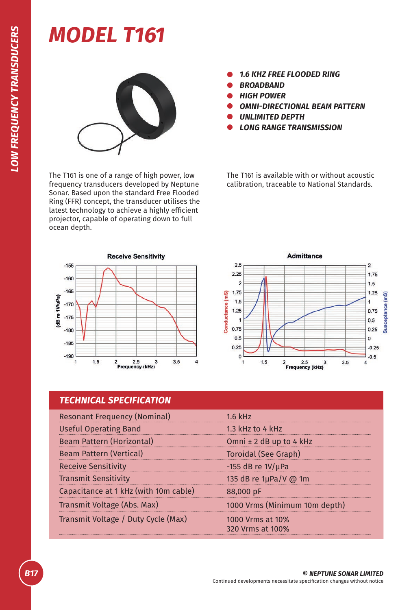## *MODEL T161*



The T161 is one of a range of high power, low frequency transducers developed by Neptune Sonar. Based upon the standard Free Flooded Ring (FFR) concept, the transducer utilises the latest technology to achieve a highly efficient projector, capable of operating down to full ocean depth.

- *1.6 KHZ FREE FLOODED RING*
- *BROADBAND*
- *HIGH POWER*
- *OMNI-DIRECTIONAL BEAM PATTERN*
- *UNLIMITED DEPTH*
- *LONG RANGE TRANSMISSION*

The T161 is available with or without acoustic calibration, traceable to National Standards.





## *TECHNICAL SPECIFICATION*

| <b>Resonant Frequency (Nominal)</b>   | $1.6$ kHz                            |
|---------------------------------------|--------------------------------------|
| <b>Useful Operating Band</b>          | 1.3 kHz to 4 kHz                     |
| Beam Pattern (Horizontal)             | Omni ± 2 dB up to 4 kHz              |
| <b>Beam Pattern (Vertical)</b>        | Toroidal (See Graph)                 |
| <b>Receive Sensitivity</b>            | -155 dB re $1V/\mu$ Pa               |
| <b>Transmit Sensitivity</b>           | 135 dB re 1µPa/V @ 1m                |
| Capacitance at 1 kHz (with 10m cable) | 88,000 pF                            |
| Transmit Voltage (Abs. Max)           | 1000 Vrms (Minimum 10m depth)        |
| Transmit Voltage / Duty Cycle (Max)   | 1000 Vrms at 10%<br>320 Vrms at 100% |